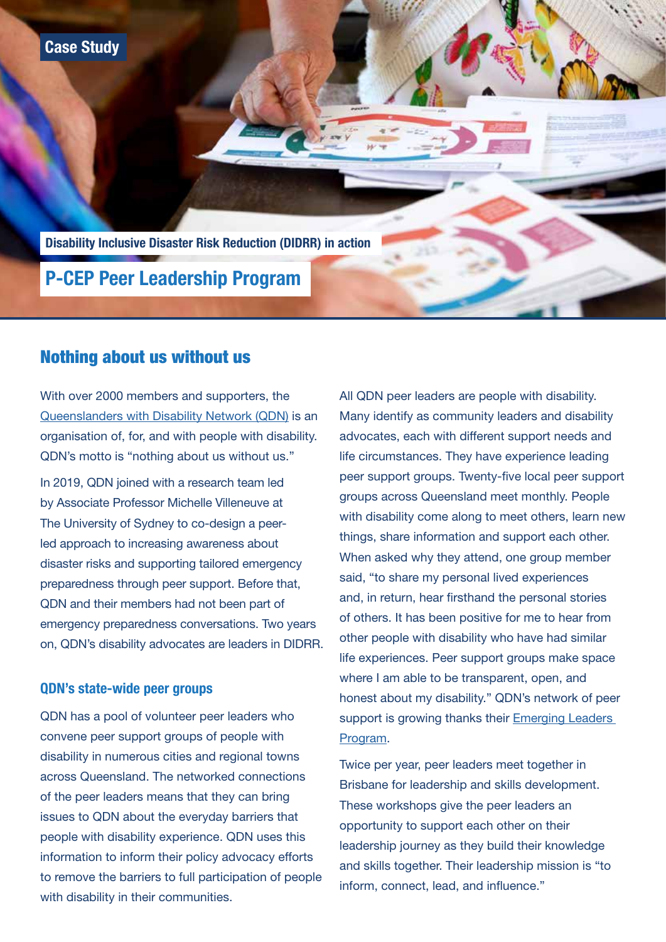**Case Study**

**Disability Inclusive Disaster Risk Reduction (DIDRR) in action**

# **P-CEP Peer Leadership Program**

## Nothing about us without us

With over 2000 members and supporters, the All QDN peer leaders are people with disability. [Queenslanders with Disability Network \(QDN\)](https://qdn.org.au/ ) is an Many identify as community leaders and disability organisation of, for, and with people with disability. advocates, each with different support needs and QDN's motto is "nothing about us without us." life circumstances. They have experience leading groups across Queensland meet monthly. People by Associate Professor Michelle Villeneuve at led approach to increasing awareness about things, share information and support each other. When asked why they attend, one group member disaster risks and supporting tailored emergency said, "to share my personal lived experiences preparedness through peer support. Before that, and, in return, hear firsthand the personal stories QDN and their members had not been part of emergency preparedness conversations. Two years of others. It has been positive for me to hear from on, QDN's disability advocates are leaders in DIDRR. other people with disability who have had similar

convene peer support groups of people with [Program.](https://qdn.org.au/our-work/emerging-leaders-program/ ) disability in numerous cities and regional towns<br>
Twice per year, peer leaders meet together in<br>
across Queensland. The networked connections  $\frac{1}{2}$  Brisbane for leadership and skills development.<br>
of the peer leaders means that they can bring of the peer leaders means that they can bring<br>
These workshops give the peer leaders an<br>
Shops give the peer leaders an  $\frac{1}{2}$ issues to QDN about the everyday barriers that opportunity to support each other on their<br>people with disability experience. QDN uses this people with disability experience. QDN uses this leadership journey as they build their knowledge information to inform their policy advocacy efforts to remove the barriers to full participation of people inform, connect, lead, and influence." with disability in their communities.

In 2019, QDN joined with a research team led peer support groups. Twenty-five local peer support with disability come along to meet others, learn new The University of Sydney to co-design a peerlife experiences. Peer support groups make space **QDN's state-wide peer groups** where I am able to be transparent, open, and **QDN's state-wide peer groups** honest about my disability." QDN's network of peer QDN has a pool of volunteer peer leaders who support is growing thanks their Emerging Leaders

and skills together. Their leadership mission is "to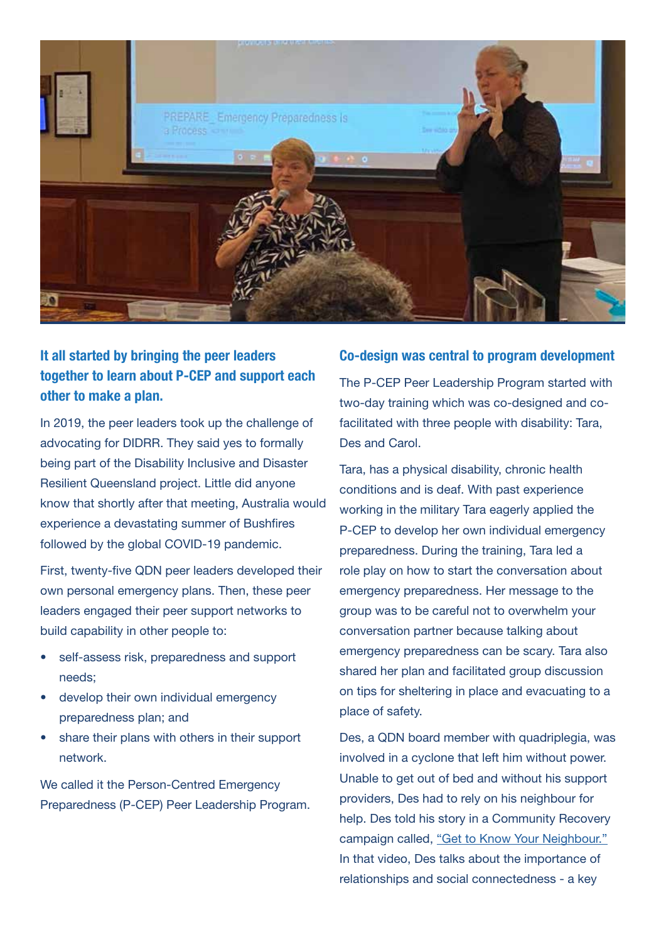

## **It all started by bringing the peer leaders together to learn about P-CEP and support each other to make a plan.**

In 2019, the peer leaders took up the challenge of advocating for DIDRR. They said yes to formally being part of the Disability Inclusive and Disaster Resilient Queensland project. Little did anyone know that shortly after that meeting, Australia would experience a devastating summer of Bushfires followed by the global COVID-19 pandemic.

First, twenty-five QDN peer leaders developed their own personal emergency plans. Then, these peer leaders engaged their peer support networks to build capability in other people to:

- self-assess risk, preparedness and support needs;
- develop their own individual emergency preparedness plan; and
- share their plans with others in their support network.

We called it the Person-Centred Emergency Preparedness (P-CEP) Peer Leadership Program.

#### **Co-design was central to program development**

The P-CEP Peer Leadership Program started with two-day training which was co-designed and cofacilitated with three people with disability: Tara, Des and Carol.

Tara, has a physical disability, chronic health conditions and is deaf. With past experience working in the military Tara eagerly applied the P-CEP to develop her own individual emergency preparedness. During the training, Tara led a role play on how to start the conversation about emergency preparedness. Her message to the group was to be careful not to overwhelm your conversation partner because talking about emergency preparedness can be scary. Tara also shared her plan and facilitated group discussion on tips for sheltering in place and evacuating to a place of safety.

Des, a QDN board member with quadriplegia, was involved in a cyclone that left him without power. Unable to get out of bed and without his support providers, Des had to rely on his neighbour for help. Des told his story in a Community Recovery campaign called, ["Get to Know Your Neighbour."](https://www.youtube.com/watch?v=rfsSEpw0klM ) In that video, Des talks about the importance of relationships and social connectedness - a key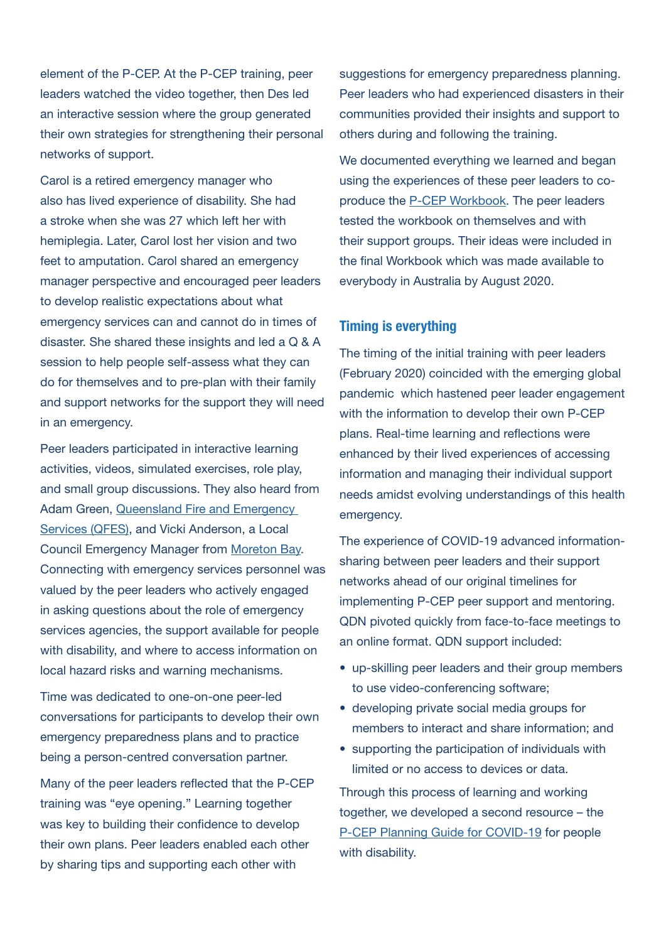element of the P-CEP. At the P-CEP training, peer leaders watched the video together, then Des led an interactive session where the group generated their own strategies for strengthening their personal networks of support.

Carol is a retired emergency manager who also has lived experience of disability. She had a stroke when she was 27 which left her with hemiplegia. Later, Carol lost her vision and two feet to amputation. Carol shared an emergency manager perspective and encouraged peer leaders to develop realistic expectations about what emergency services can and cannot do in times of disaster. She shared these insights and led a Q & A session to help people self-assess what they can do for themselves and to pre-plan with their family and support networks for the support they will need in an emergency.

Peer leaders participated in interactive learning activities, videos, simulated exercises, role play, and small group discussions. They also heard from Adam Green, [Queensland Fire and Emergency](https://www.qfes.qld.gov.au/)  [Services \(QFES\)](https://www.qfes.qld.gov.au/), and Vicki Anderson, a Local Council Emergency Manager from [Moreton Bay.](https://www.moretonbay.qld.gov.au/Services/Disaster-Management) Connecting with emergency services personnel was valued by the peer leaders who actively engaged in asking questions about the role of emergency services agencies, the support available for people with disability, and where to access information on local hazard risks and warning mechanisms.

Time was dedicated to one-on-one peer-led conversations for participants to develop their own emergency preparedness plans and to practice being a person-centred conversation partner.

Many of the peer leaders reflected that the P-CEP training was "eye opening." Learning together was key to building their confidence to develop their own plans. Peer leaders enabled each other by sharing tips and supporting each other with

suggestions for emergency preparedness planning. Peer leaders who had experienced disasters in their communities provided their insights and support to others during and following the training.

We documented everything we learned and began using the experiences of these peer leaders to coproduce the [P-CEP Workbook](https://collaborating4inclusion.org/wp-content/uploads/2020/08/2020-08-19-Person-Centred-Emergency-Preparedness-P-CEP-WORKBOOK_FINAL.pdf ). The peer leaders tested the workbook on themselves and with their support groups. Their ideas were included in the final Workbook which was made available to everybody in Australia by August 2020.

### **Timing is everything**

The timing of the initial training with peer leaders (February 2020) coincided with the emerging global pandemic which hastened peer leader engagement with the information to develop their own P-CEP plans. Real-time learning and reflections were enhanced by their lived experiences of accessing information and managing their individual support needs amidst evolving understandings of this health emergency.

The experience of COVID-19 advanced informationsharing between peer leaders and their support networks ahead of our original timelines for implementing P-CEP peer support and mentoring. QDN pivoted quickly from face-to-face meetings to an online format. QDN support included:

- up-skilling peer leaders and their group members to use video-conferencing software;
- developing private social media groups for members to interact and share information; and
- supporting the participation of individuals with limited or no access to devices or data.

Through this process of learning and working together, we developed a second resource – the [P-CEP Planning Guide for COVID-19](https://collaborating4inclusion.org/home/covid-19-person-centred-emergency-preparedness/ ) for people with disability.